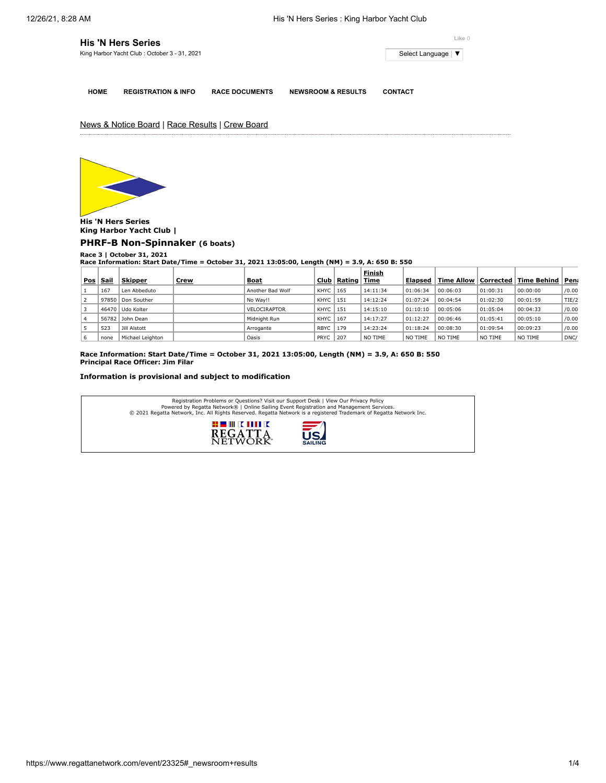| <b>His 'N Hers Series</b>                    | Like 0              |
|----------------------------------------------|---------------------|
| King Harbor Yacht Club: October 3 - 31, 2021 | Select Language   ▼ |
|                                              |                     |

**HOME REGISTRATION & INFO RACE DOCUMENTS NEWSROOM & RESULTS CONTACT**

News & Notice Board | Race Results | Crew Board



**His 'N Hers Series King Harbor Yacht Club |**

**[PHRF-B Non-Spinnaker](https://www.regattanetwork.com/clubmgmt/applet_race_scores.php?regatta_id=23325&race_num=3&fleet=PHRF-B+Non-Spinnaker&show_crew=1) (6 boats)**

## **Race 3 | October 31, 2021**

**Race Information: Start Date/Time = October 31, 2021 13:05:00, Length (NM) = 3.9, A: 650 B: 550 Finish**

|     |       |                  |             |                     |             |        | Finish   |                |                        |          |                    |       |
|-----|-------|------------------|-------------|---------------------|-------------|--------|----------|----------------|------------------------|----------|--------------------|-------|
| Pos | Sail  | <b>Skipper</b>   | <u>Crew</u> | <b>Boat</b>         | Club        | Rating | Time     | <b>Elapsed</b> | Time Allow   Corrected |          | <b>Time Behind</b> | Pen   |
|     | 167   | Len Abbeduto     |             | Another Bad Wolf    | KHYC        | 165    | 14:11:34 | 01:06:34       | 00:06:03               | 01:00:31 | 00:00:00           | /0.00 |
|     | 97850 | Don Souther      |             | No Wav!!            | KHYC        | 151    | 14:12:24 | 01:07:24       | 00:04:54               | 01:02:30 | 00:01:59           | TIE/2 |
|     |       | 46470 Udo Kolter |             | <b>VELOCIRAPTOR</b> | KHYC        | 151    | 14:15:10 | 01:10:10       | 00:05:06               | 01:05:04 | 00:04:33           | /0.00 |
|     |       | 56782 John Dean  |             | Midnight Run        | KHYC        | 167    | 14:17:27 | 01:12:27       | 00:06:46               | 01:05:41 | 00:05:10           | /0.00 |
|     | 523   | Jill Alstott     |             | Arrogante           | <b>RBYC</b> | 179    | 14:23:24 | 01:18:24       | 00:08:30               | 01:09:54 | 00:09:23           | /0.00 |
| 6   | none  | Michael Leighton |             | Oasis               | <b>PRYC</b> | 207    | NO TIME  | NO TIME        | NO TIME                | NO TIME  | NO TIME            | DNC/  |

**Race Information: Start Date/Time = October 31, 2021 13:05:00, Length (NM) = 3.9, A: 650 B: 550 Principal Race Officer: Jim Filar**

## **Information is provisional and subject to modification**